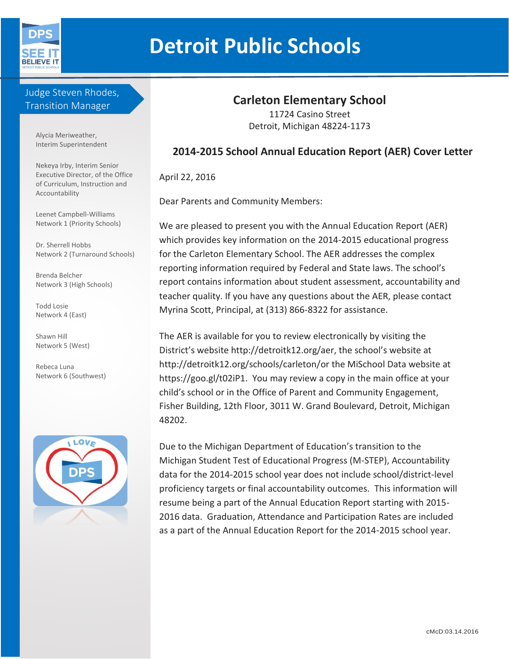

# **Detroit Public Schools**

Judge Steven Rhodes, Transition Manager

> Alycia Meriweather, Interim Superintendent

Nekeya Irby, Interim Senior Executive Director, of the Office of Curriculum, Instruction and Accountability

Leenet Campbell-Williams Network 1 (Priority Schools)

Dr. Sherrell Hobbs Network 2 (Turnaround Schools)

Brenda Belcher Network 3 (High Schools)

Todd Losie Network 4 (East)

Shawn Hill Network 5 (West)

Rebeca Luna Network 6 (Southwest)



# **Carleton Elementary School**

11724 Casino Street Detroit, Michigan 48224-1173

## **2014-2015 School Annual Education Report (AER) Cover Letter**

April 22, 2016

Dear Parents and Community Members:

We are pleased to present you with the Annual Education Report (AER) which provides key information on the 2014-2015 educational progress for the Carleton Elementary School. The AER addresses the complex reporting information required by Federal and State laws. The school's report contains information about student assessment, accountability and teacher quality. If you have any questions about the AER, please contact Myrina Scott, Principal, at (313) 866-8322 for assistance.

The AER is available for you to review electronically by visiting the District's website http://detroitk12.org/aer, the school's website at http://detroitk12.org/schools/carleton/or the MiSchool Data website at https://goo.gl/t02iP1. You may review a copy in the main office at your child's school or in the Office of Parent and Community Engagement, Fisher Building, 12th Floor, 3011 W. Grand Boulevard, Detroit, Michigan 48202.

Due to the Michigan Department of Education's transition to the Michigan Student Test of Educational Progress (M-STEP), Accountability data for the 2014-2015 school year does not include school/district-level proficiency targets or final accountability outcomes. This information will resume being a part of the Annual Education Report starting with 2015- 2016 data. Graduation, Attendance and Participation Rates are included as a part of the Annual Education Report for the 2014-2015 school year.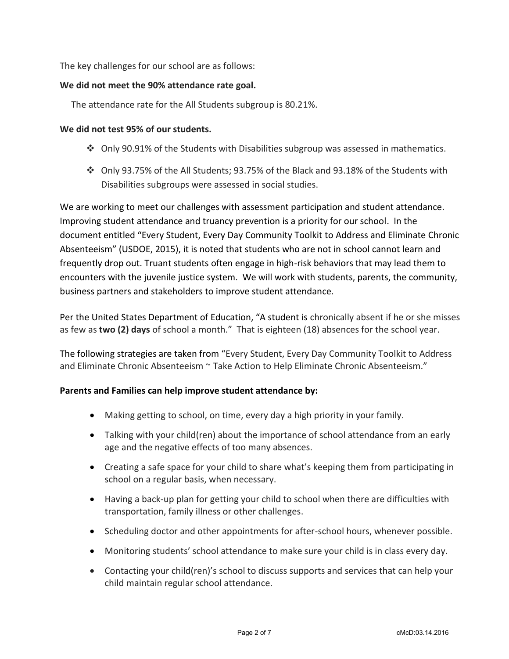The key challenges for our school are as follows:

#### **We did not meet the 90% attendance rate goal.**

The attendance rate for the All Students subgroup is 80.21%.

#### **We did not test 95% of our students.**

- $\div$  Only 90.91% of the Students with Disabilities subgroup was assessed in mathematics.
- Only 93.75% of the All Students; 93.75% of the Black and 93.18% of the Students with Disabilities subgroups were assessed in social studies.

We are working to meet our challenges with assessment participation and student attendance. Improving student attendance and truancy prevention is a priority for our school. In the document entitled "Every Student, Every Day Community Toolkit to Address and Eliminate Chronic Absenteeism" (USDOE, 2015), it is noted that students who are not in school cannot learn and frequently drop out. Truant students often engage in high-risk behaviors that may lead them to encounters with the juvenile justice system. We will work with students, parents, the community, business partners and stakeholders to improve student attendance.

Per the United States Department of Education, "A student is chronically absent if he or she misses as few as **two (2) days** of school a month." That is eighteen (18) absences for the school year.

The following strategies are taken from "Every Student, Every Day Community Toolkit to Address and Eliminate Chronic Absenteeism ~ Take Action to Help Eliminate Chronic Absenteeism."

#### **Parents and Families can help improve student attendance by:**

- Making getting to school, on time, every day a high priority in your family.
- Talking with your child(ren) about the importance of school attendance from an early age and the negative effects of too many absences.
- Creating a safe space for your child to share what's keeping them from participating in school on a regular basis, when necessary.
- Having a back-up plan for getting your child to school when there are difficulties with transportation, family illness or other challenges.
- Scheduling doctor and other appointments for after-school hours, whenever possible.
- Monitoring students' school attendance to make sure your child is in class every day.
- Contacting your child(ren)'s school to discuss supports and services that can help your child maintain regular school attendance.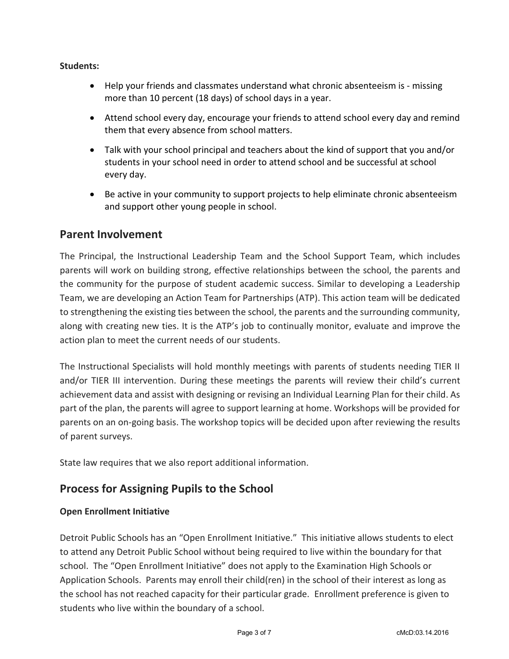#### **Students:**

- Help your friends and classmates understand what chronic absenteeism is missing more than 10 percent (18 days) of school days in a year.
- Attend school every day, encourage your friends to attend school every day and remind them that every absence from school matters.
- Talk with your school principal and teachers about the kind of support that you and/or students in your school need in order to attend school and be successful at school every day.
- Be active in your community to support projects to help eliminate chronic absenteeism and support other young people in school.

## **Parent Involvement**

The Principal, the Instructional Leadership Team and the School Support Team, which includes parents will work on building strong, effective relationships between the school, the parents and the community for the purpose of student academic success. Similar to developing a Leadership Team, we are developing an Action Team for Partnerships (ATP). This action team will be dedicated to strengthening the existing ties between the school, the parents and the surrounding community, along with creating new ties. It is the ATP's job to continually monitor, evaluate and improve the action plan to meet the current needs of our students.

The Instructional Specialists will hold monthly meetings with parents of students needing TIER II and/or TIER III intervention. During these meetings the parents will review their child's current achievement data and assist with designing or revising an Individual Learning Plan for their child. As part of the plan, the parents will agree to support learning at home. Workshops will be provided for parents on an on-going basis. The workshop topics will be decided upon after reviewing the results of parent surveys.

State law requires that we also report additional information.

# **Process for Assigning Pupils to the School**

#### **Open Enrollment Initiative**

Detroit Public Schools has an "Open Enrollment Initiative." This initiative allows students to elect to attend any Detroit Public School without being required to live within the boundary for that school. The "Open Enrollment Initiative" does not apply to the Examination High Schools or Application Schools. Parents may enroll their child(ren) in the school of their interest as long as the school has not reached capacity for their particular grade. Enrollment preference is given to students who live within the boundary of a school.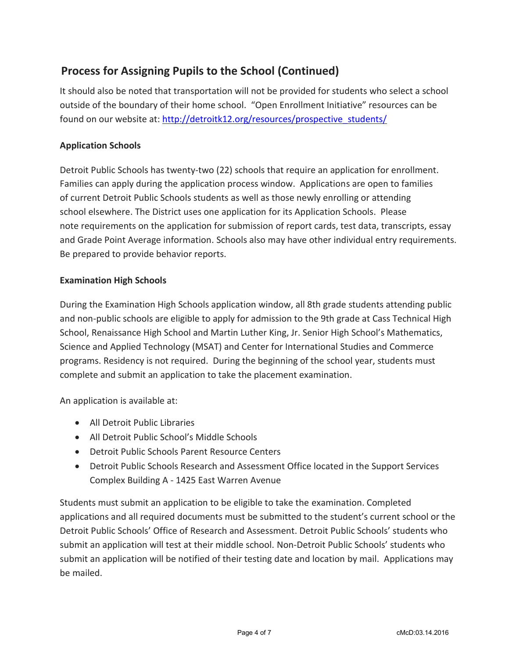# **Process for Assigning Pupils to the School (Continued)**

It should also be noted that transportation will not be provided for students who select a school outside of the boundary of their home school. "Open Enrollment Initiative" resources can be found on our website at: [http://detroitk12.org/resources/prospective\\_students/](http://detroitk12.org/resources/prospective_students/)

#### **Application Schools**

Detroit Public Schools has twenty-two (22) schools that require an application for enrollment. Families can apply during the application process window. Applications are open to families of current Detroit Public Schools students as well as those newly enrolling or attending school elsewhere. The District uses one application for its Application Schools. Please note requirements on the application for submission of report cards, test data, transcripts, essay and Grade Point Average information. Schools also may have other individual entry requirements. Be prepared to provide behavior reports.

#### **Examination High Schools**

During the Examination High Schools application window, all 8th grade students attending public and non-public schools are eligible to apply for admission to the 9th grade at Cass Technical High School, Renaissance High School and Martin Luther King, Jr. Senior High School's Mathematics, Science and Applied Technology (MSAT) and Center for International Studies and Commerce programs. Residency is not required. During the beginning of the school year, students must complete and submit an application to take the placement examination.

An application is available at:

- All Detroit Public Libraries
- All Detroit Public School's Middle Schools
- Detroit Public Schools Parent Resource Centers
- Detroit Public Schools Research and Assessment Office located in the Support Services Complex Building A - 1425 East Warren Avenue

Students must submit an application to be eligible to take the examination. Completed applications and all required documents must be submitted to the student's current school or the Detroit Public Schools' Office of Research and Assessment. Detroit Public Schools' students who submit an application will test at their middle school. Non-Detroit Public Schools' students who submit an application will be notified of their testing date and location by mail. Applications may be mailed.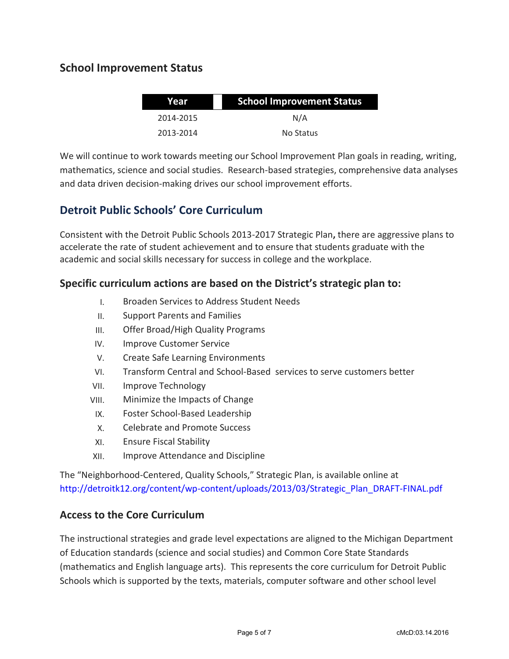## **School Improvement Status**

| Year      | <b>School Improvement Status</b> |  |
|-----------|----------------------------------|--|
| 2014-2015 | N/A                              |  |
| 2013-2014 | No Status                        |  |

We will continue to work towards meeting our School Improvement Plan goals in reading, writing, mathematics, science and social studies. Research-based strategies, comprehensive data analyses and data driven decision-making drives our school improvement efforts.

# **Detroit Public Schools' Core Curriculum**

Consistent with the Detroit Public Schools 2013-2017 Strategic Plan**,** there are aggressive plans to accelerate the rate of student achievement and to ensure that students graduate with the academic and social skills necessary for success in college and the workplace.

## **Specific curriculum actions are based on the District's strategic plan to:**

- I. Broaden Services to Address Student Needs
- II. Support Parents and Families
- III. Offer Broad/High Quality Programs
- IV. Improve Customer Service
- V. Create Safe Learning Environments
- VI. Transform Central and School-Based services to serve customers better
- VII. Improve Technology
- VIII. Minimize the Impacts of Change
- IX. Foster School-Based Leadership
- X. Celebrate and Promote Success
- XI. Ensure Fiscal Stability
- XII. Improve Attendance and Discipline

The "Neighborhood-Centered, Quality Schools," Strategic Plan, is available online at [http://detroitk12.org/content/wp-content/uploads/2013/03/Strategic\\_Plan\\_DRAFT-FINAL.pdf](http://detroitk12.org/content/wp-content/uploads/2013/03/Strategic_Plan_DRAFT-FINAL.pdf)

#### **Access to the Core Curriculum**

The instructional strategies and grade level expectations are aligned to the Michigan Department of Education standards (science and social studies) and Common Core State Standards (mathematics and English language arts). This represents the core curriculum for Detroit Public Schools which is supported by the texts, materials, computer software and other school level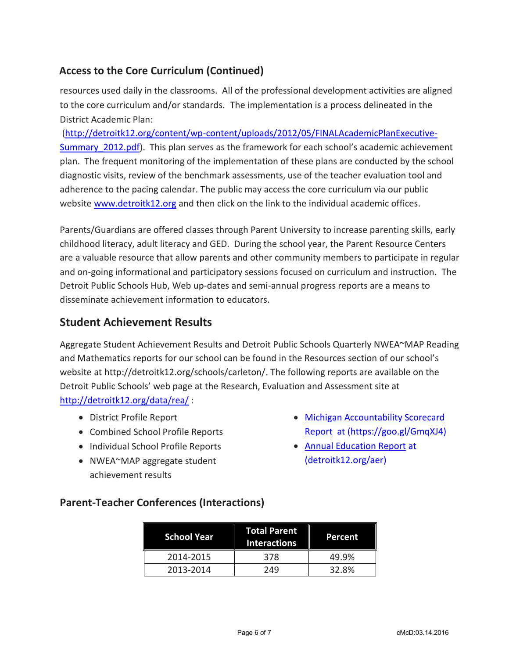## **Access to the Core Curriculum (Continued)**

resources used daily in the classrooms. All of the professional development activities are aligned to the core curriculum and/or standards. The implementation is a process delineated in the District Academic Plan:

[\(http://detroitk12.org/content/wp-content/uploads/2012/05/FINALAcademicPlanExecutive-](http://detroitk12.org/content/wp-content/uploads/2012/05/FINALAcademicPlanExecutive-Summary_2012.pdf)Summary 2012.pdf). This plan serves as the framework for each school's academic achievement plan. The frequent monitoring of the implementation of these plans are conducted by the school diagnostic visits, review of the benchmark assessments, use of the teacher evaluation tool and adherence to the pacing calendar. The public may access the core curriculum via our public website [www.detroitk12.org](http://www.detroitk12.org/) and then click on the link to the individual academic offices.

Parents/Guardians are offered classes through Parent University to increase parenting skills, early childhood literacy, adult literacy and GED. During the school year, the Parent Resource Centers are a valuable resource that allow parents and other community members to participate in regular and on-going informational and participatory sessions focused on curriculum and instruction. The Detroit Public Schools Hub, Web up-dates and semi-annual progress reports are a means to disseminate achievement information to educators.

## **Student Achievement Results**

Aggregate Student Achievement Results and Detroit Public Schools Quarterly NWEA~MAP Reading and Mathematics reports for our school can be found in the Resources section of our school's website at http://detroitk12.org/schools/carleton/. The following reports are available on the Detroit Public Schools' web page at the Research, Evaluation and Assessment site at <http://detroitk12.org/data/rea/> :

- District Profile Report
- Combined School Profile Reports
- Individual School Profile Reports
- NWEA~MAP aggregate student achievement results
- [Michigan Accountability Scorecard](https://goo.gl/GmqXJ4)  [Report](https://goo.gl/GmqXJ4) at (https://goo.gl/GmqXJ4)
- [Annual Education Report](http://detroitk12.org/aer) at (detroitk12.org/aer)

## **Parent-Teacher Conferences (Interactions)**

| <b>School Year</b> | <b>Total Parent</b><br><b>Interactions</b> | Percent |
|--------------------|--------------------------------------------|---------|
| 2014-2015          | 378                                        | 49.9%   |
| 2013-2014          | 249                                        | 32.8%   |